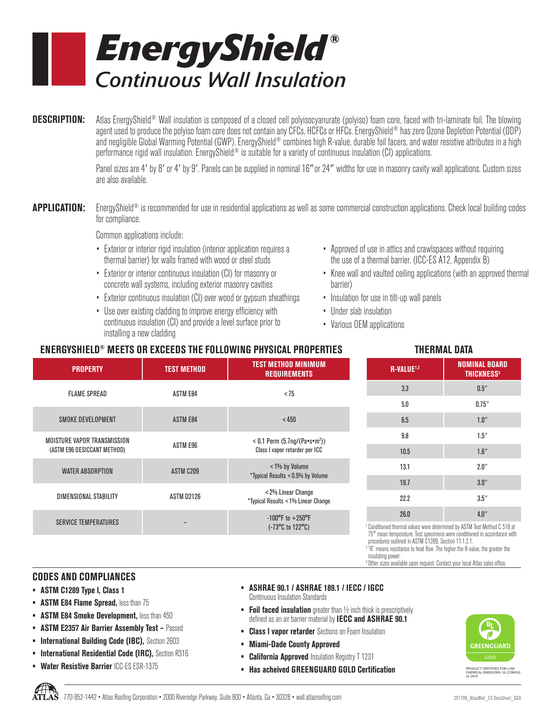

**DESCRIPTION:** Atlas EnergyShield® Wall insulation is composed of a closed cell polyisocyanurate (polyiso) foam core, faced with tri-laminate foil. The blowing agent used to produce the polyiso foam core does not contain any CFCs, HCFCs or HFCs. EnergyShield® has zero Ozone Depletion Potential (ODP) and negligible Global Warming Potential (GWP). EnergyShield® combines high R-value, durable foil facers, and water resistive attributes in a high performance rigid wall insulation. EnergyShield<sup>®</sup> is suitable for a variety of continuous insulation (CI) applications.

> Panel sizes are 4' by 8' or 4' by 9'. Panels can be supplied in nominal 16" or 24" widths for use in masonry cavity wall applications. Custom sizes are also available.

**APPLICATION:** EnergyShield<sup>®</sup> is recommended for use in residential applications as well as some commercial construction applications. Check local building codes for compliance.

Common applications include:

- Exterior or interior rigid insulation (interior application requires a thermal barrier) for walls framed with wood or steel studs
- Exterior or interior continuous insulation (CI) for masonry or concrete wall systems, including exterior masonry cavities
- Exterior continuous insulation (CI) over wood or gypsum sheathings
- Use over existing cladding to improve energy efficiency with continuous insulation (CI) and provide a level surface prior to installing a new cladding
- Approved of use in attics and crawlspaces without requiring the use of a thermal barrier. (ICC-ES A12, Appendix B)
- Knee wall and vaulted ceiling applications (with an approved thermal barrier)
- Insulation for use in tilt-up wall panels
- Under slab insulation
- Various OEM applications

## **ENERGYSHIELD® MEETS OR EXCEEDS THE FOLLOWING PHYSICAL PROPERTIES THERMAL DATA**

| TEST METHOD MINIMUM<br><b>TEST METHOD</b><br><b>REQUIREMENTS</b> |                                                                                   |
|------------------------------------------------------------------|-----------------------------------------------------------------------------------|
| <b>ASTM E84</b>                                                  | < 75                                                                              |
| <b>ASTM E84</b>                                                  | < 450                                                                             |
| ASTM E96                                                         | $< 0.1$ Perm (5.7ng/(Pa=s=m <sup>2</sup> ))<br>Class I vapor retarder per ICC     |
| ASTM C209                                                        | <1% by Volume<br>*Typical Results < 0.5% by Volume                                |
| ASTM D2126                                                       | < 2% Linear Change<br>*Typical Results < 1% Linear Change                         |
|                                                                  | $-100^{\circ}$ F to $+250^{\circ}$ F<br>$(-73^{\circ}C \text{ to } 122^{\circ}C)$ |
|                                                                  |                                                                                   |

| . .                    |                                                      |  |  |  |  |
|------------------------|------------------------------------------------------|--|--|--|--|
| R-VALUE <sup>1,2</sup> | <b>NOMINAL BOARD</b><br><b>THICKNESS<sup>3</sup></b> |  |  |  |  |
| 3.3                    | 0.5''                                                |  |  |  |  |
| 5.0                    | 0.75''                                               |  |  |  |  |
| 6.5                    | 1.0''                                                |  |  |  |  |
| 9.8                    | 1.5''                                                |  |  |  |  |
| 10.5                   | 1.6''                                                |  |  |  |  |
| 13.1                   | 2.0''                                                |  |  |  |  |
| 19.7                   | 3.0''                                                |  |  |  |  |
| 22.2                   | 3.5''                                                |  |  |  |  |
| 26.0                   | 4.0''                                                |  |  |  |  |

<sup>1</sup> Conditioned thermal values were determined by ASTM Test Method C 518 at 75° mean temperature. Test specimens were conditioned in accordance with procedures outlined in ASTM C1289, Section 11.1.2.1.

2 "R" means resistance to heat flow. The higher the R-value, the greater the insulating power.

3 Other sizes available upon request. Contact your local Atlas sales office.

## **CODES AND COMPLIANCES**

- **• ASTM C1289 Type l, Class 1**
- **ASTM E84 Flame Spread, less than 75**
- **• ASTM E84 Smoke Development,** less than 450
- **• ASTM E2357 Air Barrier Assembly Test** Passed
- **International Building Code (IBC), Section 2603**
- **• International Residential Code (IRC),** Section R316
- **• Water Resistive Barrier** ICC-ES ESR-1375
- **• ASHRAE 90.1 / ASHRAE 189.1 / IECC / IGCC**  Continuous Insulation Standards
- **• Foil faced insulation** greater than ½ inch thick is prescriptively defined as an air barrier material by **IECC and ASHRAE 90.1**
- **• Class l vapor retarder** Sections on Foam Insulation
- **• Miami-Dade County Approved**
- **• California Approved** Insulation Registry T 1231
- **• Has acheived GREENGUARD GOLD Certification**